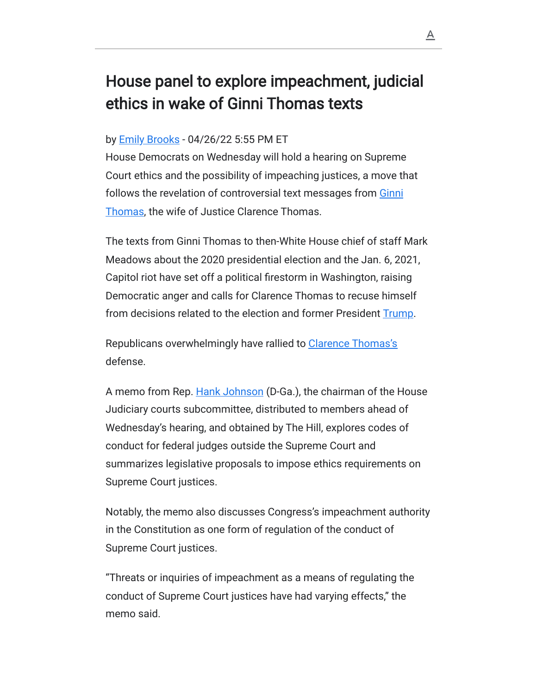## House panel to explore impeachment, judicial ethics in wake of Ginni Thomas texts

## by **Emily Brooks** - 04/26/22 5:55 PM ET

House Democrats on Wednesday will hold a hearing on Supreme Court ethics and the possibility of impeaching justices, a move that [follows the revelation of controversial text messages from Ginni](https://thehill.com/people/ginni-thomas/) Thomas, the wife of Justice Clarence Thomas.

The texts from Ginni Thomas to then-White House chief of staff Mark Meadows about the 2020 presidential election and the Jan. 6, 2021, Capitol riot have set off a political firestorm in Washington, raising Democratic anger and calls for Clarence Thomas to recuse himself from decisions related to the election and former President [Trump.](https://thehill.com/people/trump/)

Republicans overwhelmingly have rallied to [Clarence Thomas's](https://thehill.com/people/clarence-thomas/) defense.

A memo from Rep. [Hank Johnson](https://thehill.com/people/hank-johnson/) (D-Ga.), the chairman of the House Judiciary courts subcommittee, distributed to members ahead of Wednesday's hearing, and obtained by The Hill, explores codes of conduct for federal judges outside the Supreme Court and summarizes legislative proposals to impose ethics requirements on Supreme Court justices.

Notably, the memo also discusses Congress's impeachment authority in the Constitution as one form of regulation of the conduct of Supreme Court justices.

"Threats or inquiries of impeachment as a means of regulating the conduct of Supreme Court justices have had varying effects," the memo said.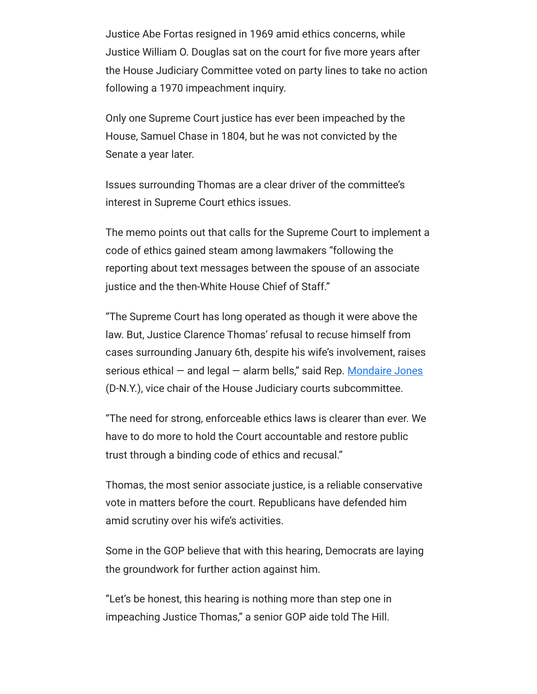Justice Abe Fortas resigned in 1969 amid ethics concerns, while Justice William O. Douglas sat on the court for five more years after the House Judiciary Committee voted on party lines to take no action following a 1970 impeachment inquiry.

Only one Supreme Court justice has ever been impeached by the House, Samuel Chase in 1804, but he was not convicted by the Senate a year later.

Issues surrounding Thomas are a clear driver of the committee's interest in Supreme Court ethics issues.

The memo points out that calls for the Supreme Court to implement a code of ethics gained steam among lawmakers "following the reporting about text messages between the spouse of an associate justice and the then-White House Chief of Staff."

"The Supreme Court has long operated as though it were above the law. But, Justice Clarence Thomas' refusal to recuse himself from cases surrounding January 6th, despite his wife's involvement, raises serious ethical  $-$  and legal  $-$  alarm bells," said Rep. [Mondaire Jones](https://thehill.com/people/mondaire-jones/) (D-N.Y.), vice chair of the House Judiciary courts subcommittee.

"The need for strong, enforceable ethics laws is clearer than ever. We have to do more to hold the Court accountable and restore public trust through a binding code of ethics and recusal."

Thomas, the most senior associate justice, is a reliable conservative vote in matters before the court. Republicans have defended him amid scrutiny over his wife's activities.

Some in the GOP believe that with this hearing, Democrats are laying the groundwork for further action against him.

"Let's be honest, this hearing is nothing more than step one in impeaching Justice Thomas," a senior GOP aide told The Hill.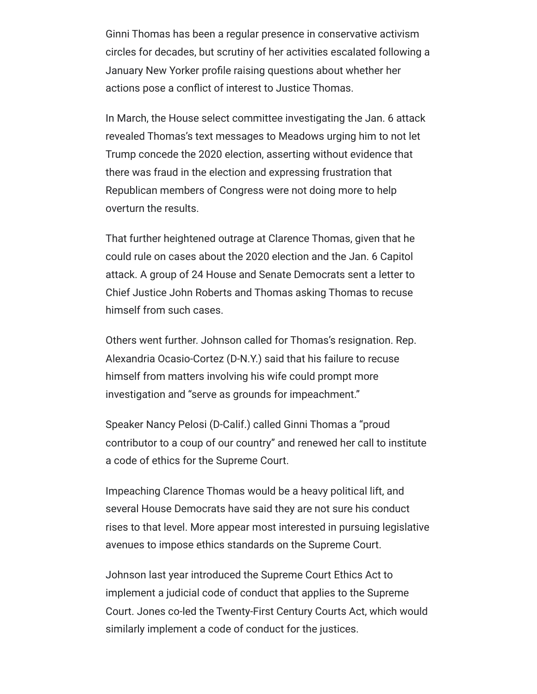Ginni Thomas has been a regular presence in conservative activism circles for decades, but scrutiny of her activities escalated following a January New Yorker profile raising questions about whether her actions pose a conflict of interest to Justice Thomas.

In March, the House select committee investigating the Jan. 6 attack revealed Thomas's text messages to Meadows urging him to not let Trump concede the 2020 election, asserting without evidence that there was fraud in the election and expressing frustration that Republican members of Congress were not doing more to help overturn the results.

That further heightened outrage at Clarence Thomas, given that he could rule on cases about the 2020 election and the Jan. 6 Capitol attack. A group of 24 House and Senate Democrats sent a letter to Chief Justice John Roberts and Thomas asking Thomas to recuse himself from such cases.

Others went further. Johnson called for Thomas's resignation. Rep. Alexandria Ocasio-Cortez (D-N.Y.) said that his failure to recuse himself from matters involving his wife could prompt more investigation and "serve as grounds for impeachment."

Speaker Nancy Pelosi (D-Calif.) called Ginni Thomas a "proud contributor to a coup of our country" and renewed her call to institute a code of ethics for the Supreme Court.

Impeaching Clarence Thomas would be a heavy political lift, and several House Democrats have said they are not sure his conduct rises to that level. More appear most interested in pursuing legislative avenues to impose ethics standards on the Supreme Court.

Johnson last year introduced the Supreme Court Ethics Act to implement a judicial code of conduct that applies to the Supreme Court. Jones co-led the Twenty-First Century Courts Act, which would similarly implement a code of conduct for the justices.